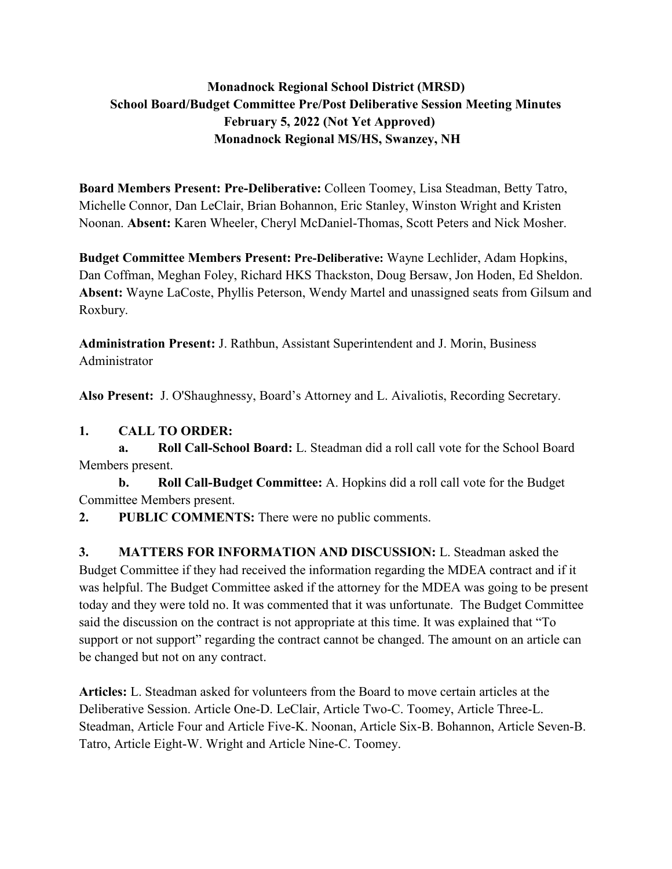# **Monadnock Regional School District (MRSD) School Board/Budget Committee Pre/Post Deliberative Session Meeting Minutes February 5, 2022 (Not Yet Approved) Monadnock Regional MS/HS, Swanzey, NH**

**Board Members Present: Pre-Deliberative:** Colleen Toomey, Lisa Steadman, Betty Tatro, Michelle Connor, Dan LeClair, Brian Bohannon, Eric Stanley, Winston Wright and Kristen Noonan. **Absent:** Karen Wheeler, Cheryl McDaniel-Thomas, Scott Peters and Nick Mosher.

**Budget Committee Members Present: Pre-Deliberative:** Wayne Lechlider, Adam Hopkins, Dan Coffman, Meghan Foley, Richard HKS Thackston, Doug Bersaw, Jon Hoden, Ed Sheldon. **Absent:** Wayne LaCoste, Phyllis Peterson, Wendy Martel and unassigned seats from Gilsum and Roxbury.

**Administration Present:** J. Rathbun, Assistant Superintendent and J. Morin, Business Administrator

**Also Present:** J. O'Shaughnessy, Board's Attorney and L. Aivaliotis, Recording Secretary.

# **1. CALL TO ORDER:**

 **a. Roll Call-School Board:** L. Steadman did a roll call vote for the School Board Members present.

 **b. Roll Call-Budget Committee:** A. Hopkins did a roll call vote for the Budget Committee Members present.

**2. PUBLIC COMMENTS:** There were no public comments.

**3. MATTERS FOR INFORMATION AND DISCUSSION:** L. Steadman asked the Budget Committee if they had received the information regarding the MDEA contract and if it was helpful. The Budget Committee asked if the attorney for the MDEA was going to be present today and they were told no. It was commented that it was unfortunate. The Budget Committee said the discussion on the contract is not appropriate at this time. It was explained that "To support or not support" regarding the contract cannot be changed. The amount on an article can be changed but not on any contract.

**Articles:** L. Steadman asked for volunteers from the Board to move certain articles at the Deliberative Session. Article One-D. LeClair, Article Two-C. Toomey, Article Three-L. Steadman, Article Four and Article Five-K. Noonan, Article Six-B. Bohannon, Article Seven-B. Tatro, Article Eight-W. Wright and Article Nine-C. Toomey.